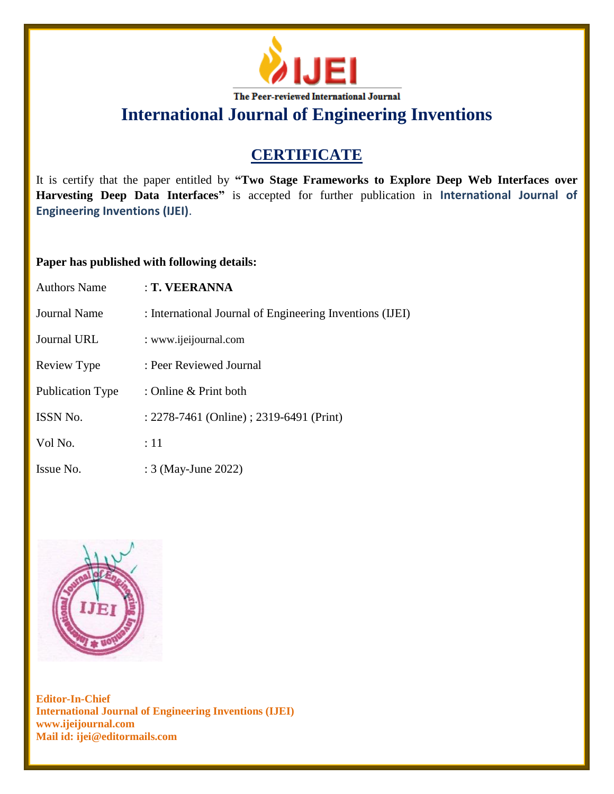

# **CERTIFICATE**

It is certify that the paper entitled by **"Two Stage Frameworks to Explore Deep Web Interfaces over Harvesting Deep Data Interfaces"** is accepted for further publication in **International Journal of Engineering Inventions (IJEI)**.

## **Paper has published with following details:**

| <b>Authors Name</b>     | : T. VEERANNA                                            |
|-------------------------|----------------------------------------------------------|
| Journal Name            | : International Journal of Engineering Inventions (IJEI) |
| Journal URL             | : www.ijeijournal.com                                    |
| Review Type             | : Peer Reviewed Journal                                  |
| <b>Publication Type</b> | : Online $&$ Print both                                  |
| <b>ISSN No.</b>         | : 2278-7461 (Online) ; 2319-6491 (Print)                 |
| Vol No.                 | :11                                                      |
| Issue No.               | : 3 (May-June 2022)                                      |

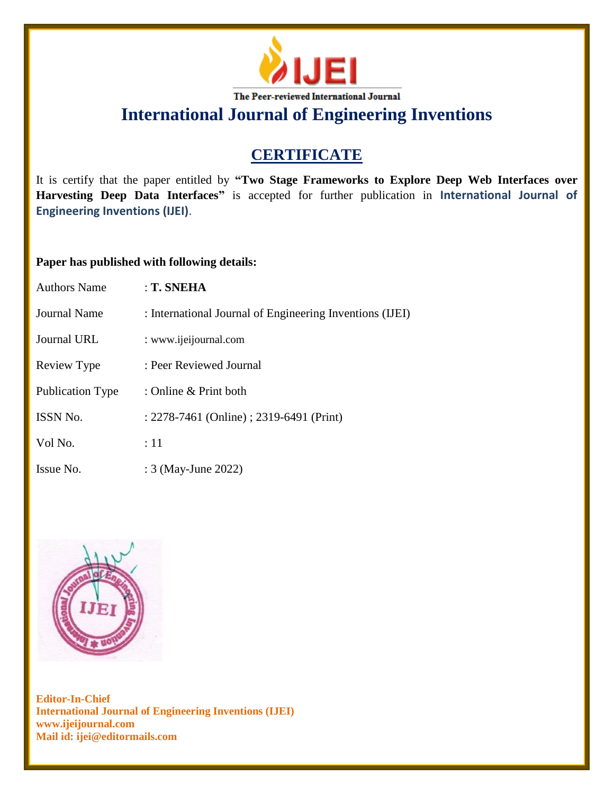

# **CERTIFICATE**

It is certify that the paper entitled by **"Two Stage Frameworks to Explore Deep Web Interfaces over Harvesting Deep Data Interfaces"** is accepted for further publication in **International Journal of Engineering Inventions (IJEI)**.

## **Paper has published with following details:**

| <b>Authors Name</b>     | : T. SNEHA                                               |
|-------------------------|----------------------------------------------------------|
| Journal Name            | : International Journal of Engineering Inventions (IJEI) |
| Journal URL             | : www.ijeijournal.com                                    |
| Review Type             | : Peer Reviewed Journal                                  |
| <b>Publication Type</b> | : Online & Print both                                    |
| <b>ISSN No.</b>         | : 2278-7461 (Online) ; 2319-6491 (Print)                 |
| Vol No.                 | :11                                                      |
| Issue No.               | : 3 (May-June 2022)                                      |

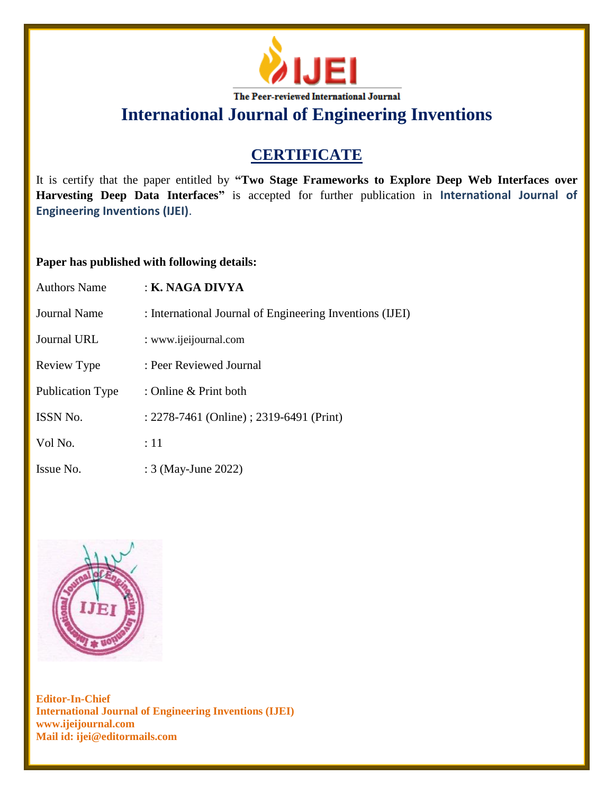

# **CERTIFICATE**

It is certify that the paper entitled by **"Two Stage Frameworks to Explore Deep Web Interfaces over Harvesting Deep Data Interfaces"** is accepted for further publication in **International Journal of Engineering Inventions (IJEI)**.

## **Paper has published with following details:**

| <b>Authors Name</b> | : K. NAGA DIVYA                                          |
|---------------------|----------------------------------------------------------|
| Journal Name        | : International Journal of Engineering Inventions (IJEI) |
| <b>Journal URL</b>  | : www.ijeijournal.com                                    |
| Review Type         | : Peer Reviewed Journal                                  |
| Publication Type    | : Online $&$ Print both                                  |
| ISSN No.            | : 2278-7461 (Online) ; 2319-6491 (Print)                 |
| Vol No.             | :11                                                      |
| Issue No.           | : 3 (May-June 2022)                                      |

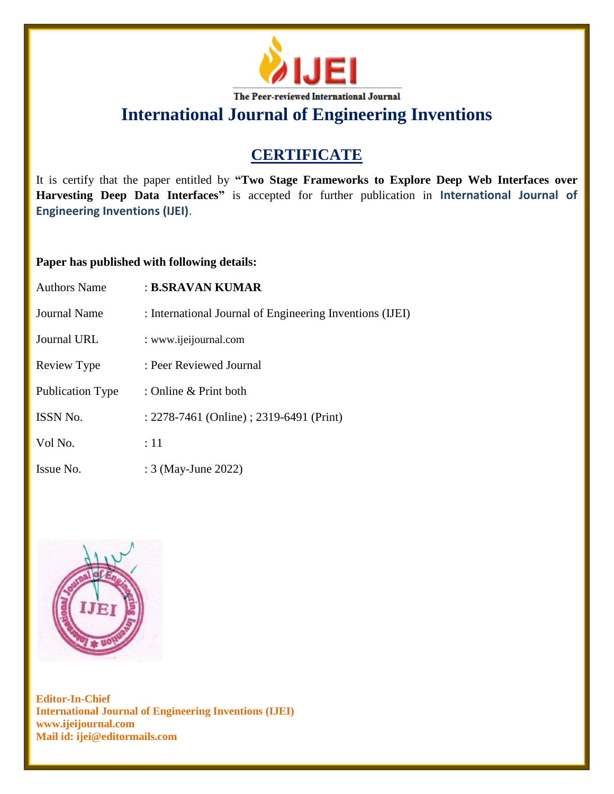

# **CERTIFICATE**

It is certify that the paper entitled by **"Two Stage Frameworks to Explore Deep Web Interfaces over Harvesting Deep Data Interfaces"** is accepted for further publication in **International Journal of Engineering Inventions (IJEI)**.

## **Paper has published with following details:**

| <b>Authors Name</b>     | : B.SRAVAN KUMAR                                         |
|-------------------------|----------------------------------------------------------|
| <b>Journal Name</b>     | : International Journal of Engineering Inventions (IJEI) |
| <b>Journal URL</b>      | : www.ijeijournal.com                                    |
| Review Type             | : Peer Reviewed Journal                                  |
| <b>Publication Type</b> | : Online $&$ Print both                                  |
| ISSN No.                | : 2278-7461 (Online) ; 2319-6491 (Print)                 |
| Vol No.                 | :11                                                      |
| Issue No.               | : 3 (May-June 2022)                                      |